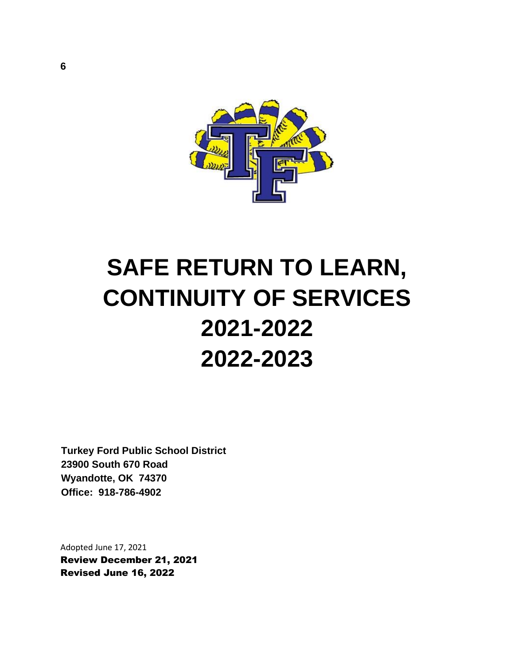

# **SAFE RETURN TO LEARN, CONTINUITY OF SERVICES 2021-2022 2022-2023**

**Turkey Ford Public School District 23900 South 670 Road Wyandotte, OK 74370 Office: 918-786-4902**

Adopted June 17, 2021 Review December 21, 2021 Revised June 16, 2022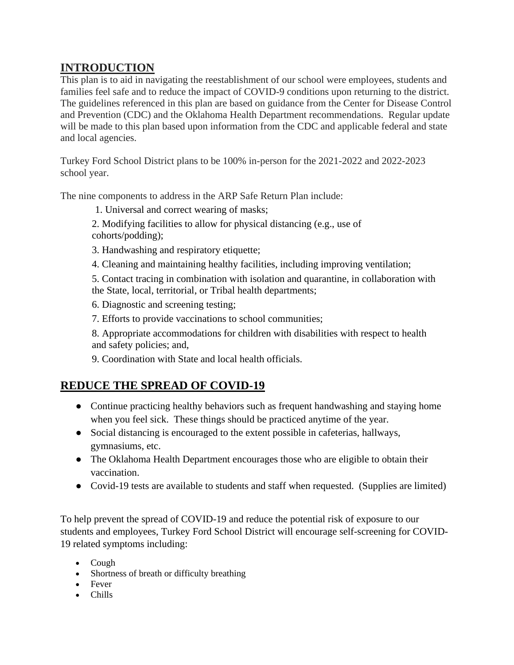# **INTRODUCTION**

This plan is to aid in navigating the reestablishment of our school were employees, students and families feel safe and to reduce the impact of COVID-9 conditions upon returning to the district. The guidelines referenced in this plan are based on guidance from the Center for Disease Control and Prevention (CDC) and the Oklahoma Health Department recommendations. Regular update will be made to this plan based upon information from the CDC and applicable federal and state and local agencies.

Turkey Ford School District plans to be 100% in-person for the 2021-2022 and 2022-2023 school year.

The nine components to address in the ARP Safe Return Plan include:

1. Universal and correct wearing of masks;

2. Modifying facilities to allow for physical distancing (e.g., use of cohorts/podding);

3. Handwashing and respiratory etiquette;

4. Cleaning and maintaining healthy facilities, including improving ventilation;

5. Contact tracing in combination with isolation and quarantine, in collaboration with the State, local, territorial, or Tribal health departments;

6. Diagnostic and screening testing;

7. Efforts to provide vaccinations to school communities;

8. Appropriate accommodations for children with disabilities with respect to health and safety policies; and,

9. Coordination with State and local health officials.

## **REDUCE THE SPREAD OF COVID-19**

- Continue practicing healthy behaviors such as frequent handwashing and staying home when you feel sick. These things should be practiced anytime of the year.
- Social distancing is encouraged to the extent possible in cafeterias, hallways, gymnasiums, etc.
- The Oklahoma Health Department encourages those who are eligible to obtain their vaccination.
- Covid-19 tests are available to students and staff when requested. (Supplies are limited)

To help prevent the spread of COVID-19 and reduce the potential risk of exposure to our students and employees, Turkey Ford School District will encourage self-screening for COVID-19 related symptoms including:

- Cough
- Shortness of breath or difficulty breathing
- Fever
- Chills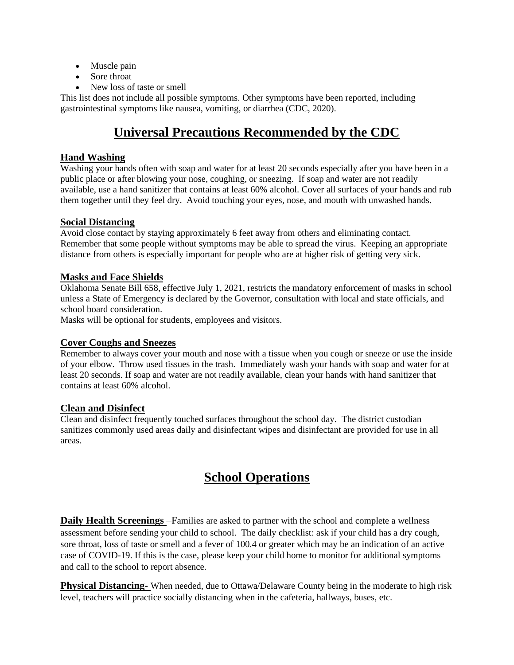- Muscle pain
- Sore throat
- New loss of taste or smell

This list does not include all possible symptoms. Other symptoms have been reported, including gastrointestinal symptoms like nausea, vomiting, or diarrhea (CDC, 2020).

# **Universal Precautions Recommended by the CDC**

#### **Hand Washing**

Washing your hands often with soap and water for at least 20 seconds especially after you have been in a public place or after blowing your nose, coughing, or sneezing. If soap and water are not readily available, use a hand sanitizer that contains at least 60% alcohol. Cover all surfaces of your hands and rub them together until they feel dry. Avoid touching your eyes, nose, and mouth with unwashed hands.

#### **Social Distancing**

Avoid close contact by staying approximately 6 feet away from others and eliminating contact. Remember that some people without symptoms may be able to spread the virus. Keeping an appropriate distance from others is especially important for people who are at higher risk of getting very sick.

#### **Masks and Face Shields**

Oklahoma Senate Bill 658, effective July 1, 2021, restricts the mandatory enforcement of masks in school unless a State of Emergency is declared by the Governor, consultation with local and state officials, and school board consideration.

Masks will be optional for students, employees and visitors.

#### **Cover Coughs and Sneezes**

Remember to always cover your mouth and nose with a tissue when you cough or sneeze or use the inside of your elbow. Throw used tissues in the trash. Immediately wash your hands with soap and water for at least 20 seconds. If soap and water are not readily available, clean your hands with hand sanitizer that contains at least 60% alcohol.

#### **Clean and Disinfect**

Clean and disinfect frequently touched surfaces throughout the school day. The district custodian sanitizes commonly used areas daily and disinfectant wipes and disinfectant are provided for use in all areas.

# **School Operations**

**Daily Health Screenings** –Families are asked to partner with the school and complete a wellness assessment before sending your child to school. The daily checklist: ask if your child has a dry cough, sore throat, loss of taste or smell and a fever of 100.4 or greater which may be an indication of an active case of COVID-19. If this is the case, please keep your child home to monitor for additional symptoms and call to the school to report absence.

**Physical Distancing-** When needed, due to Ottawa/Delaware County being in the moderate to high risk level, teachers will practice socially distancing when in the cafeteria, hallways, buses, etc.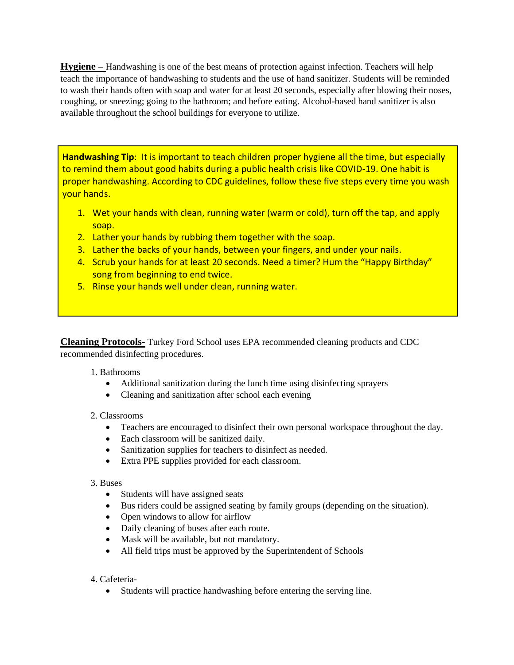**Hygiene –** Handwashing is one of the best means of protection against infection. Teachers will help teach the importance of handwashing to students and the use of hand sanitizer. Students will be reminded to wash their hands often with soap and water for at least 20 seconds, especially after blowing their noses, coughing, or sneezing; going to the bathroom; and before eating. Alcohol-based hand sanitizer is also available throughout the school buildings for everyone to utilize.

**Handwashing Tip**: It is important to teach children proper hygiene all the time, but especially to remind them about good habits during a public health crisis like COVID-19. One habit is proper handwashing. According to CDC guidelines, follow these five steps every time you wash your hands.

- 1. Wet your hands with clean, running water (warm or cold), turn off the tap, and apply soap.
- 2. Lather your hands by rubbing them together with the soap.
- 3. Lather the backs of your hands, between your fingers, and under your nails.
- 4. Scrub your hands for at least 20 seconds. Need a timer? Hum the "Happy Birthday" song from beginning to end twice.
- 5. Rinse your hands well under clean, running water.

**Cleaning Protocols-** Turkey Ford School uses EPA recommended cleaning products and CDC recommended disinfecting procedures.

#### 1. Bathrooms

- Additional sanitization during the lunch time using disinfecting sprayers
- Cleaning and sanitization after school each evening

#### 2. Classrooms

- Teachers are encouraged to disinfect their own personal workspace throughout the day.
- Each classroom will be sanitized daily.
- Sanitization supplies for teachers to disinfect as needed.
- Extra PPE supplies provided for each classroom.

#### 3. Buses

- Students will have assigned seats
- Bus riders could be assigned seating by family groups (depending on the situation).
- Open windows to allow for airflow
- Daily cleaning of buses after each route.
- Mask will be available, but not mandatory.
- All field trips must be approved by the Superintendent of Schools

#### 4. Cafeteria-

• Students will practice handwashing before entering the serving line.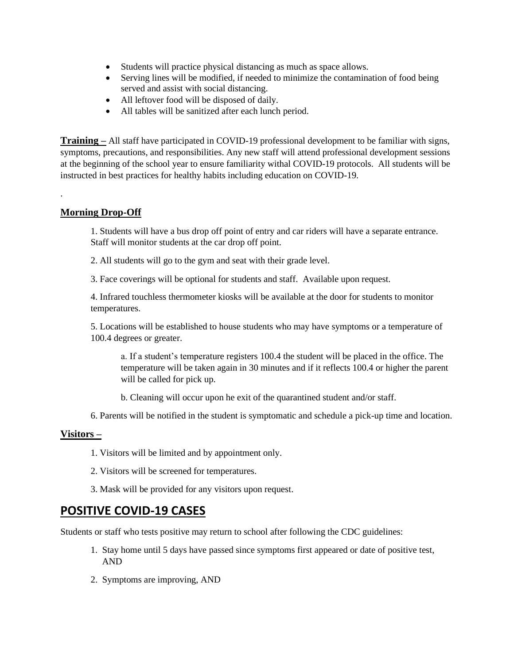- Students will practice physical distancing as much as space allows.
- Serving lines will be modified, if needed to minimize the contamination of food being served and assist with social distancing.
- All leftover food will be disposed of daily.
- All tables will be sanitized after each lunch period.

**Training –** All staff have participated in COVID-19 professional development to be familiar with signs, symptoms, precautions, and responsibilities. Any new staff will attend professional development sessions at the beginning of the school year to ensure familiarity withal COVID-19 protocols. All students will be instructed in best practices for healthy habits including education on COVID-19.

#### **Morning Drop-Off**

.

1. Students will have a bus drop off point of entry and car riders will have a separate entrance. Staff will monitor students at the car drop off point.

2. All students will go to the gym and seat with their grade level.

3. Face coverings will be optional for students and staff. Available upon request.

4. Infrared touchless thermometer kiosks will be available at the door for students to monitor temperatures.

5. Locations will be established to house students who may have symptoms or a temperature of 100.4 degrees or greater.

a. If a student's temperature registers 100.4 the student will be placed in the office. The temperature will be taken again in 30 minutes and if it reflects 100.4 or higher the parent will be called for pick up.

- b. Cleaning will occur upon he exit of the quarantined student and/or staff.
- 6. Parents will be notified in the student is symptomatic and schedule a pick-up time and location.

#### **Visitors –**

- 1. Visitors will be limited and by appointment only.
- 2. Visitors will be screened for temperatures.
- 3. Mask will be provided for any visitors upon request.

#### **POSITIVE COVID-19 CASES**

Students or staff who tests positive may return to school after following the CDC guidelines:

- 1. Stay home until 5 days have passed since symptoms first appeared or date of positive test, AND
- 2. Symptoms are improving, AND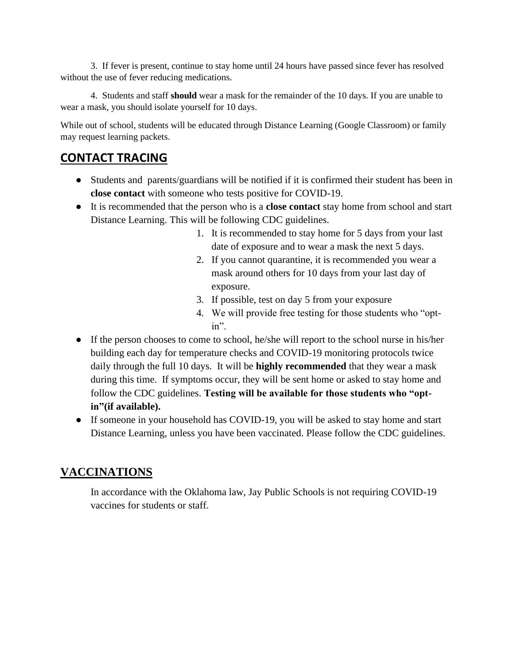3. If fever is present, continue to stay home until 24 hours have passed since fever has resolved without the use of fever reducing medications.

4. Students and staff **should** wear a mask for the remainder of the 10 days. If you are unable to wear a mask, you should isolate yourself for 10 days.

While out of school, students will be educated through Distance Learning (Google Classroom) or family may request learning packets.

## **CONTACT TRACING**

- Students and parents/guardians will be notified if it is confirmed their student has been in **close contact** with someone who tests positive for COVID-19.
- It is recommended that the person who is a **close contact** stay home from school and start Distance Learning. This will be following CDC guidelines.
	- 1. It is recommended to stay home for 5 days from your last date of exposure and to wear a mask the next 5 days.
	- 2. If you cannot quarantine, it is recommended you wear a mask around others for 10 days from your last day of exposure.
	- 3. If possible, test on day 5 from your exposure
	- 4. We will provide free testing for those students who "optin".
- If the person chooses to come to school, he/she will report to the school nurse in his/her building each day for temperature checks and COVID-19 monitoring protocols twice daily through the full 10 days. It will be **highly recommended** that they wear a mask during this time. If symptoms occur, they will be sent home or asked to stay home and follow the CDC guidelines. **Testing will be available for those students who "optin"(if available).**
- If someone in your household has COVID-19, you will be asked to stay home and start Distance Learning, unless you have been vaccinated. Please follow the CDC guidelines.

## **VACCINATIONS**

In accordance with the Oklahoma law, Jay Public Schools is not requiring COVID-19 vaccines for students or staff.